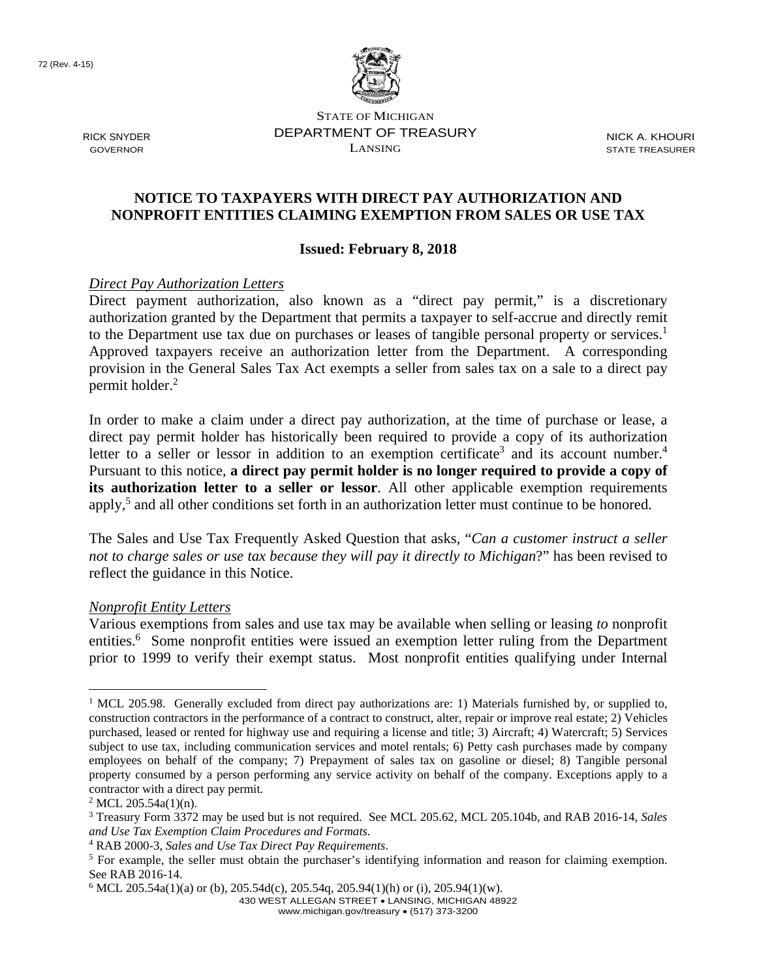72 (Rev. 4-15)



STATE OF MICHIGAN RICK SNYDER **EXAMPLE DEPARTMENT OF TREASURY** NICK A. KHOURI GOVERNOR LANSING STATE TREASURER

## **NOTICE TO TAXPAYERS WITH DIRECT PAY AUTHORIZATION AND NONPROFIT ENTITIES CLAIMING EXEMPTION FROM SALES OR USE TAX**

## **Issued: February 8, 2018**

## *Direct Pay Authorization Letters*

to the Department use tax due on purchases or leases of tangible personal property or services.<sup>1</sup> permit holder.<sup>2</sup> Direct payment authorization, also known as a "direct pay permit," is a discretionary authorization granted by the Department that permits a taxpayer to self-accrue and directly remit Approved taxpayers receive an authorization letter from the Department. A corresponding provision in the General Sales Tax Act exempts a seller from sales tax on a sale to a direct pay

letter to a seller or lessor in addition to an exemption certificate<sup>3</sup> and its account number.<sup>4</sup> In order to make a claim under a direct pay authorization, at the time of purchase or lease, a direct pay permit holder has historically been required to provide a copy of its authorization Pursuant to this notice, **a direct pay permit holder is no longer required to provide a copy of its authorization letter to a seller or lessor**. All other applicable exemption requirements apply,<sup>5</sup> and all other conditions set forth in an authorization letter must continue to be honored.

The Sales and Use Tax Frequently Asked Question that asks, "*Can a customer instruct a seller not to charge sales or use tax because they will pay it directly to Michigan*?" has been revised to reflect the guidance in this Notice.

## *Nonprofit Entity Letters*

Various exemptions from sales and use tax may be available when selling or leasing *to* nonprofit entities.<sup>6</sup> Some nonprofit entities were issued an exemption letter ruling from the Department prior to 1999 to verify their exempt status. Most nonprofit entities qualifying under Internal

430 WEST ALLEGAN STREET LANSING, MICHIGAN 48922

www.michigan.gov/treasury • (517) 373-3200

<sup>&</sup>lt;u>.</u> <sup>1</sup> MCL 205.98. Generally excluded from direct pay authorizations are: 1) Materials furnished by, or supplied to, construction contractors in the performance of a contract to construct, alter, repair or improve real estate; 2) Vehicles purchased, leased or rented for highway use and requiring a license and title; 3) Aircraft; 4) Watercraft; 5) Services subject to use tax, including communication services and motel rentals; 6) Petty cash purchases made by company employees on behalf of the company; 7) Prepayment of sales tax on gasoline or diesel; 8) Tangible personal property consumed by a person performing any service activity on behalf of the company. Exceptions apply to a contractor with a direct pay permit.

 $2$  MCL 205.54a(1)(n).

<sup>3</sup> Treasury Form 3372 may be used but is not required. See MCL 205.62, MCL 205.104b, and RAB 2016-14, *Sales and Use Tax Exemption Claim Procedures and Formats.*

<sup>&</sup>lt;sup>4</sup> RAB 2000-3, *Sales and Use Tax Direct Pay Requirements*.<br><sup>5</sup> For example, the seller must obtain the purchaser's identi

 For example, the seller must obtain the purchaser's identifying information and reason for claiming exemption. See RAB 2016-14.

 $6$  MCL 205.54a(1)(a) or (b), 205.54d(c), 205.54q, 205.94(1)(h) or (i), 205.94(1)(w).